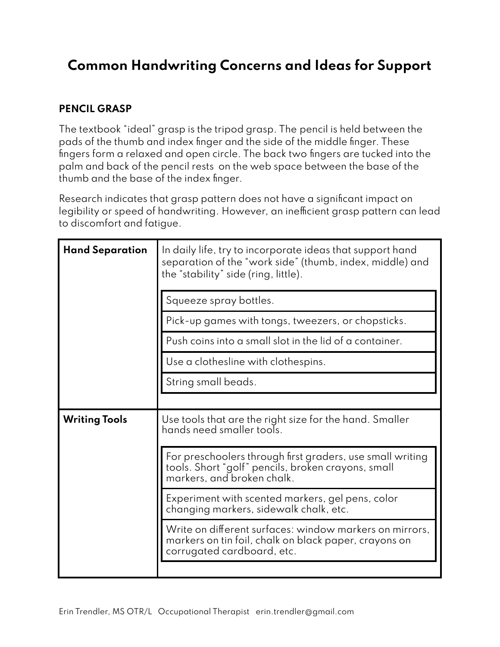## **Common Handwriting Concerns and Ideas for Support**

## **PENCIL GRASP**

The textbook "ideal" grasp is the tripod grasp. The pencil is held between the pads of the thumb and index finger and the side of the middle finger. These fingers form a relaxed and open circle. The back two fingers are tucked into the palm and back of the pencil rests on the web space between the base of the thumb and the base of the index finger.

Research indicates that grasp pattern does not have a significant impact on legibility or speed of handwriting. However, an inefficient grasp pattern can lead to discomfort and fatigue.

| <b>Hand Separation</b> | In daily life, try to incorporate ideas that support hand<br>separation of the "work side" (thumb, index, middle) and<br>the "stability" side (ring, little). |
|------------------------|---------------------------------------------------------------------------------------------------------------------------------------------------------------|
|                        | Squeeze spray bottles.                                                                                                                                        |
|                        | Pick-up games with tongs, tweezers, or chopsticks.                                                                                                            |
|                        | Push coins into a small slot in the lid of a container.                                                                                                       |
|                        | Use a clothesline with clothespins.                                                                                                                           |
|                        | String small beads.                                                                                                                                           |
|                        |                                                                                                                                                               |
| <b>Writing Tools</b>   | Use tools that are the right size for the hand. Smaller<br>hands need smaller tools.                                                                          |
|                        | For preschoolers through first graders, use small writing<br>tools. Short "golf" pencils, broken crayons, small<br>markers, and broken chalk.                 |
|                        | Experiment with scented markers, gel pens, color<br>changing markers, sidewalk chalk, etc.                                                                    |
|                        | Write on different surfaces: window markers on mirrors,<br>markers on tin foil, chalk on black paper, crayons on<br>corrugated cardboard, etc.                |
|                        |                                                                                                                                                               |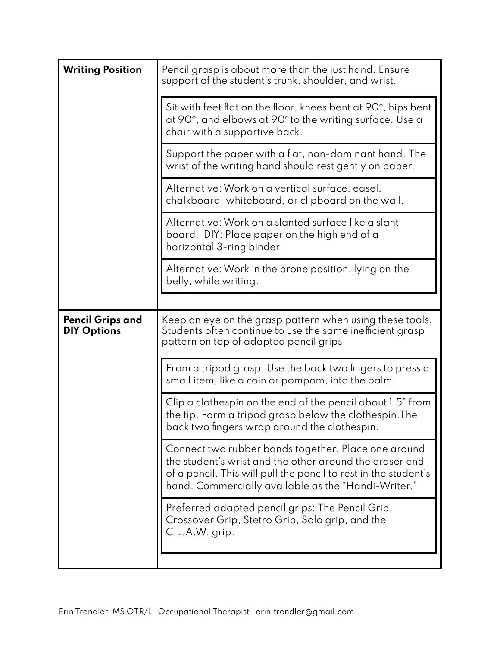| <b>Writing Position</b>                | Pencil grasp is about more than the just hand. Ensure<br>support of the student's trunk, shoulder, and wrist.                                                                                                                            |
|----------------------------------------|------------------------------------------------------------------------------------------------------------------------------------------------------------------------------------------------------------------------------------------|
|                                        | Sit with feet flat on the floor, knees bent at 90 $\degree$ , hips bent<br>at 90°, and elbows at 90° to the writing surface. Use a<br>chair with a supportive back.                                                                      |
|                                        | Support the paper with a flat, non-dominant hand. The<br>wrist of the writing hand should rest gently on paper.                                                                                                                          |
|                                        | Alternative: Work on a vertical surface: easel,<br>chalkboard, whiteboard, or clipboard on the wall.                                                                                                                                     |
|                                        | Alternative: Work on a slanted surface like a slant<br>board. DIY: Place paper on the high end of a<br>horizontal 3-ring binder.                                                                                                         |
|                                        | Alternative: Work in the prone position, lying on the<br>belly, while writing.                                                                                                                                                           |
|                                        |                                                                                                                                                                                                                                          |
| Pencil Grips and<br><b>DIY Options</b> | Keep an eye on the grasp pattern when using these tools.<br>Students often continue to use the same inefficient grasp<br>pattern on top of adapted pencil grips.                                                                         |
|                                        | From a tripod grasp. Use the back two fingers to press a<br>small item, like a coin or pompom, into the palm.                                                                                                                            |
|                                        | Clip a clothespin on the end of the pencil about 1.5" from<br>the tip. Form a tripod grasp below the clothespin. The<br>back two fingers wrap around the clothespin.                                                                     |
|                                        | Connect two rubber bands together. Place one around<br>the student's wrist and the other around the eraser end<br>of a pencil. This will pull the pencil to rest in the student's<br>hand. Commercially available as the "Handi-Writer." |
|                                        | Preferred adapted pencil grips: The Pencil Grip,<br>Crossover Grip, Stetro Grip, Solo grip, and the<br>C.L.A.W. grip.                                                                                                                    |
|                                        |                                                                                                                                                                                                                                          |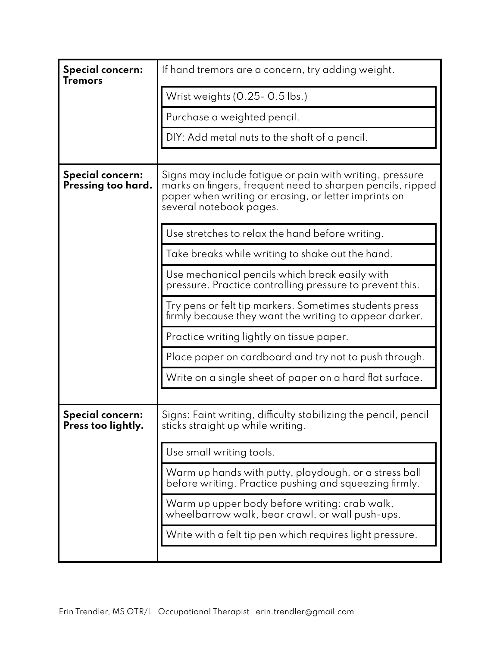| <b>Special concern:</b><br><b>Tremors</b>     | If hand tremors are a concern, try adding weight.                                                                                                                                                         |
|-----------------------------------------------|-----------------------------------------------------------------------------------------------------------------------------------------------------------------------------------------------------------|
|                                               | Wrist weights (0.25-0.5 lbs.)                                                                                                                                                                             |
|                                               | Purchase a weighted pencil.                                                                                                                                                                               |
|                                               | DIY: Add metal nuts to the shaft of a pencil.                                                                                                                                                             |
|                                               |                                                                                                                                                                                                           |
| Special concern:<br>Pressing too hard.        | Signs may include fatigue or pain with writing, pressure<br>marks on fingers, frequent need to sharpen pencils, ripped<br>paper when writing or erasing, or letter imprints on<br>several notebook pages. |
|                                               | Use stretches to relax the hand before writing.                                                                                                                                                           |
|                                               | Take breaks while writing to shake out the hand.                                                                                                                                                          |
|                                               | Use mechanical pencils which break easily with<br>pressure. Practice controlling pressure to prevent this.                                                                                                |
|                                               | Try pens or felt tip markers. Sometimes students press<br>firmly because they want the writing to appear darker.                                                                                          |
|                                               | Practice writing lightly on tissue paper.                                                                                                                                                                 |
|                                               | Place paper on cardboard and try not to push through.                                                                                                                                                     |
|                                               | Write on a single sheet of paper on a hard flat surface.                                                                                                                                                  |
|                                               |                                                                                                                                                                                                           |
| <b>Special concern:</b><br>Press too lightly. | Signs: Faint writing, difficulty stabilizing the pencil, pencil<br>sticks straight up while writing.                                                                                                      |
|                                               | Use small writing tools.                                                                                                                                                                                  |
|                                               | Warm up hands with putty, playdough, or a stress ball<br>before writing. Practice pushing and squeezing firmly.                                                                                           |
|                                               | Warm up upper body before writing: crab walk,<br>wheelbarrow walk, bear crawl, or wall push-ups.                                                                                                          |
|                                               | Write with a felt tip pen which requires light pressure.                                                                                                                                                  |
|                                               |                                                                                                                                                                                                           |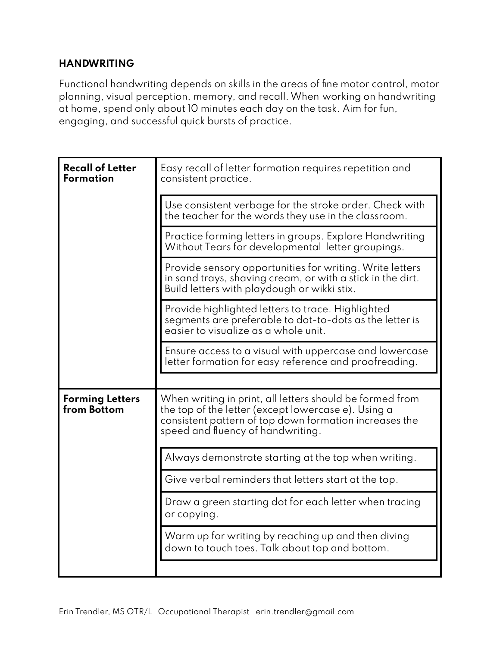## **HANDWRITING**

Functional handwriting depends on skills in the areas of fine motor control, motor planning, visual perception, memory, and recall.When working on handwriting at home, spend only about 10 minutes each day on the task. Aim for fun, engaging, and successful quick bursts of practice.

| <b>Recall of Letter</b><br>Formation  | Easy recall of letter formation requires repetition and<br>consistent practice.                                                                                                                                |
|---------------------------------------|----------------------------------------------------------------------------------------------------------------------------------------------------------------------------------------------------------------|
|                                       | Use consistent verbage for the stroke order. Check with<br>the teacher for the words they use in the classroom.                                                                                                |
|                                       | Practice forming letters in groups. Explore Handwriting<br>Without Tears for developmental letter groupings.                                                                                                   |
|                                       | Provide sensory opportunities for writing. Write letters<br>in sand trays, shaving cream, or with a stick in the dirt.<br>Build letters with playdough or wikki stix.                                          |
|                                       | Provide highlighted letters to trace. Highlighted<br>segments are preferable to dot-to-dots as the letter is<br>easier to visualize as a whole unit.                                                           |
|                                       | Ensure access to a visual with uppercase and lowercase<br>letter formation for easy reference and proofreading.                                                                                                |
|                                       |                                                                                                                                                                                                                |
| <b>Forming Letters</b><br>from Bottom | When writing in print, all letters should be formed from<br>the top of the letter (except lowercase e). Using a<br>consistent pattern of top down formation increases the<br>speed and fluency of handwriting. |
|                                       | Always demonstrate starting at the top when writing.                                                                                                                                                           |
|                                       | Give verbal reminders that letters start at the top.                                                                                                                                                           |
|                                       | Draw a green starting dot for each letter when tracing<br>or copying.                                                                                                                                          |
|                                       | Warm up for writing by reaching up and then diving<br>down to touch toes. Talk about top and bottom.                                                                                                           |
|                                       |                                                                                                                                                                                                                |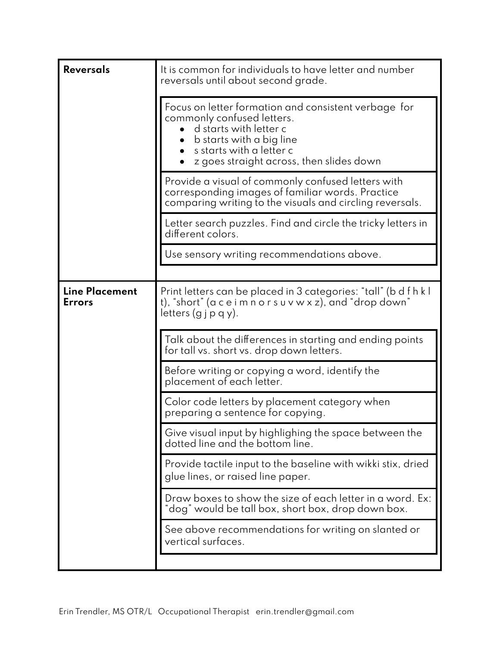| <b>Reversals</b>                       | It is common for individuals to have letter and number<br>reversals until about second grade.                                                                                                                      |
|----------------------------------------|--------------------------------------------------------------------------------------------------------------------------------------------------------------------------------------------------------------------|
|                                        | Focus on letter formation and consistent verbage for<br>commonly confused letters.<br>d starts with letter c<br>b starts with a big line<br>• s starts with a letter c<br>z goes straight across, then slides down |
|                                        | Provide a visual of commonly confused letters with<br>corresponding images of familiar words. Practice<br>comparing writing to the visuals and circling reversals.                                                 |
|                                        | Letter search puzzles. Find and circle the tricky letters in<br>different colors.                                                                                                                                  |
|                                        | Use sensory writing recommendations above.                                                                                                                                                                         |
| <b>Line Placement</b><br><b>Errors</b> | Print letters can be placed in 3 categories: "tall" (b d f h k l<br>t), "short" (a c e i m n o r s u v w x z), and "drop down"<br>letters $(g \nvert p q y)$ .                                                     |
|                                        | Talk about the differences in starting and ending points<br>for tall vs. short vs. drop down letters.                                                                                                              |
|                                        | Before writing or copying a word, identify the<br>placement of each letter.                                                                                                                                        |
|                                        | Color code letters by placement category when<br>preparing a sentence for copying.                                                                                                                                 |
|                                        | Give visual input by highlighing the space between the<br>dotted line and the bottom line.                                                                                                                         |
|                                        | Provide tactile input to the baseline with wikki stix, dried<br>glue lines, or raised line paper.                                                                                                                  |
|                                        | Draw boxes to show the size of each letter in a word. Ex:<br>'dog" would be tall box, short box, drop down box.                                                                                                    |
|                                        | See above recommendations for writing on slanted or<br>vertical surfaces.                                                                                                                                          |
|                                        |                                                                                                                                                                                                                    |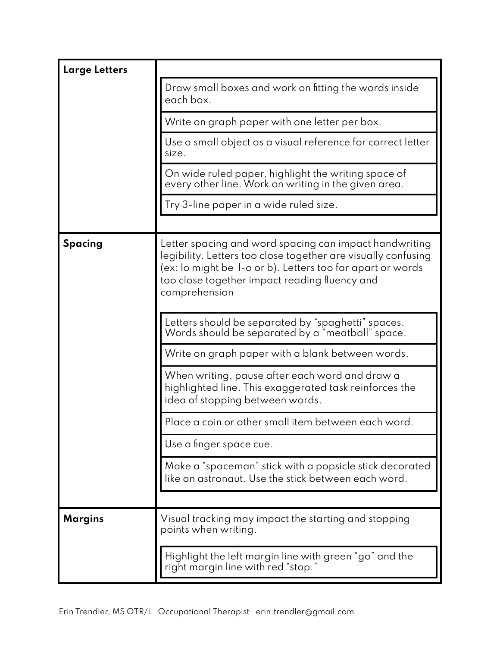| <b>Large Letters</b> |                                                                                                                                                                                                                                                         |
|----------------------|---------------------------------------------------------------------------------------------------------------------------------------------------------------------------------------------------------------------------------------------------------|
|                      | Draw small boxes and work on fitting the words inside<br>each box.                                                                                                                                                                                      |
|                      | Write on graph paper with one letter per box.                                                                                                                                                                                                           |
|                      | Use a small object as a visual reference for correct letter<br>size.                                                                                                                                                                                    |
|                      | On wide ruled paper, highlight the writing space of<br>every other line. Work on writing in the given area.                                                                                                                                             |
|                      | Try 3-line paper in a wide ruled size.                                                                                                                                                                                                                  |
|                      |                                                                                                                                                                                                                                                         |
| <b>Spacing</b>       | Letter spacing and word spacing can impact handwriting<br>legibility. Letters too close together are visually confusing<br>(ex: lo might be I-o or b). Letters too far apart or words<br>too close together impact reading fluency and<br>comprehension |
|                      | Letters should be separated by "spaghetti" spaces.<br>Words should be separated by a "meatball" space.                                                                                                                                                  |
|                      | Write on graph paper with a blank between words.                                                                                                                                                                                                        |
|                      | When writing, pause after each word and draw a<br>highlighted line. This exaggerated task reinforces the<br>idea of stopping between words.                                                                                                             |
|                      | Place a coin or other small item between each word.                                                                                                                                                                                                     |
|                      | Use a finger space cue.                                                                                                                                                                                                                                 |
|                      | Make a "spaceman" stick with a popsicle stick decorated<br>like an astronaut. Use the stick between each word.                                                                                                                                          |
|                      |                                                                                                                                                                                                                                                         |
| <b>Margins</b>       | Visual tracking may impact the starting and stopping<br>points when writing.                                                                                                                                                                            |
|                      | Highlight the left margin line with green "go" and the<br>right margin line with red "stop."                                                                                                                                                            |